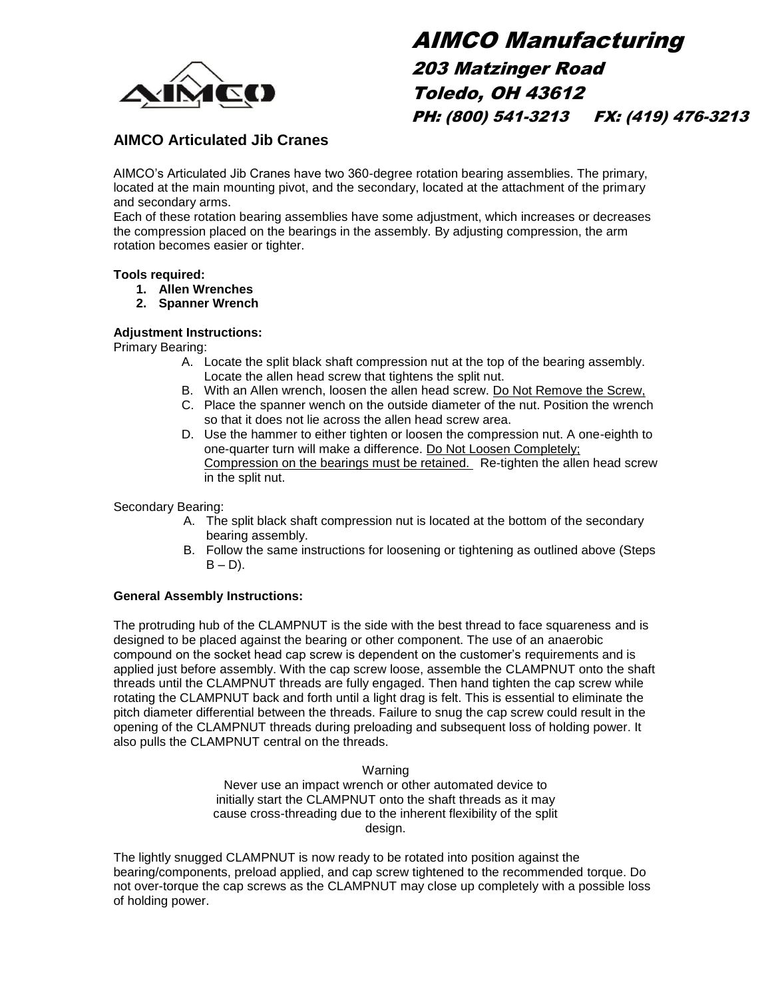

# AIMCO Manufacturing 203 Matzinger Road Toledo, OH 43612 PH: (800) 541-3213 FX: (419) 476-3213

### **AIMCO Articulated Jib Cranes**

AIMCO's Articulated Jib Cranes have two 360-degree rotation bearing assemblies. The primary, located at the main mounting pivot, and the secondary, located at the attachment of the primary and secondary arms.

Each of these rotation bearing assemblies have some adjustment, which increases or decreases the compression placed on the bearings in the assembly. By adjusting compression, the arm rotation becomes easier or tighter.

#### **Tools required:**

- **1. Allen Wrenches**
- **2. Spanner Wrench**

#### **Adjustment Instructions:**

Primary Bearing:

- A. Locate the split black shaft compression nut at the top of the bearing assembly. Locate the allen head screw that tightens the split nut.
- B. With an Allen wrench, loosen the allen head screw. Do Not Remove the Screw,
- C. Place the spanner wench on the outside diameter of the nut. Position the wrench so that it does not lie across the allen head screw area.
- D. Use the hammer to either tighten or loosen the compression nut. A one-eighth to one-quarter turn will make a difference. Do Not Loosen Completely; Compression on the bearings must be retained. Re-tighten the allen head screw in the split nut.

Secondary Bearing:

- A. The split black shaft compression nut is located at the bottom of the secondary bearing assembly.
- B. Follow the same instructions for loosening or tightening as outlined above (Steps  $B - D$ ).

#### **General Assembly Instructions:**

The protruding hub of the CLAMPNUT is the side with the best thread to face squareness and is designed to be placed against the bearing or other component. The use of an anaerobic compound on the socket head cap screw is dependent on the customer's requirements and is applied just before assembly. With the cap screw loose, assemble the CLAMPNUT onto the shaft threads until the CLAMPNUT threads are fully engaged. Then hand tighten the cap screw while rotating the CLAMPNUT back and forth until a light drag is felt. This is essential to eliminate the pitch diameter differential between the threads. Failure to snug the cap screw could result in the opening of the CLAMPNUT threads during preloading and subsequent loss of holding power. It also pulls the CLAMPNUT central on the threads.

Warning

Never use an impact wrench or other automated device to initially start the CLAMPNUT onto the shaft threads as it may cause cross-threading due to the inherent flexibility of the split design.

The lightly snugged CLAMPNUT is now ready to be rotated into position against the bearing/components, preload applied, and cap screw tightened to the recommended torque. Do not over-torque the cap screws as the CLAMPNUT may close up completely with a possible loss of holding power.